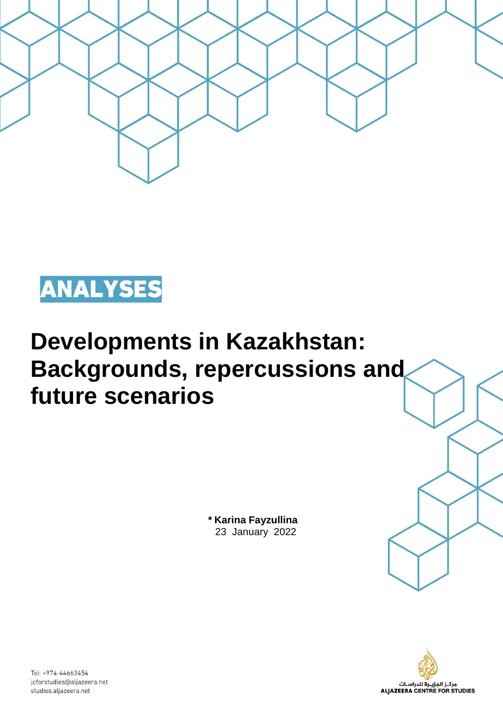



# **Developments in Kazakhstan: Backgrounds, repercussions and future scenarios**

**\* Karina Fayzullina** 23 January 2022



Tel: +974-44663454 jcforstudies@aljazeera.net studies.aljazeera.net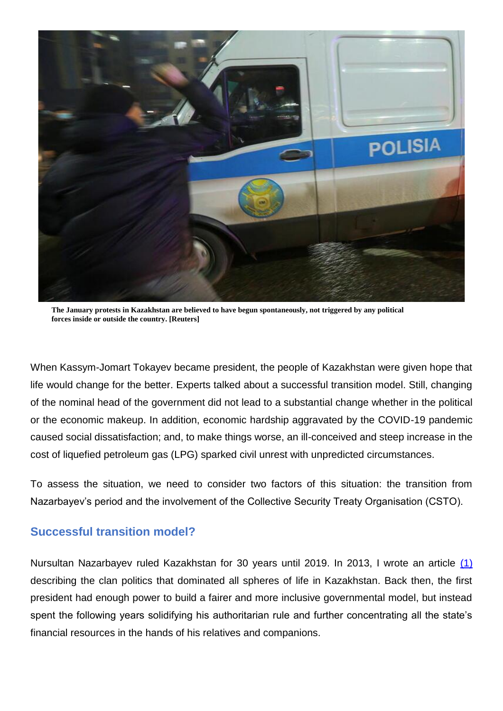

**The January protests in Kazakhstan are believed to have begun spontaneously, not triggered by any political forces inside or outside the country. [Reuters]**

When Kassym-Jomart Tokayev became president, the people of Kazakhstan were given hope that life would change for the better. Experts talked about a successful transition model. Still, changing of the nominal head of the government did not lead to a substantial change whether in the political or the economic makeup. In addition, economic hardship aggravated by the COVID-19 pandemic caused social dissatisfaction; and, to make things worse, an ill-conceived and steep increase in the cost of liquefied petroleum gas (LPG) sparked civil unrest with unpredicted circumstances.

To assess the situation, we need to consider two factors of this situation: the transition from Nazarbayev's period and the involvement of the Collective Security Treaty Organisation (CSTO).

### **Successful transition model?**

Nursultan Nazarbayev ruled Kazakhstan for 30 years until 2019. In 2013, I wrote an article (1) describing the clan politics that dominated all spheres of life in Kazakhstan. Back then, the first president had enough power to build a fairer and more inclusive governmental model, but instead spent the following years solidifying his authoritarian rule and further concentrating all the state's financial resources in the hands of his relatives and companions.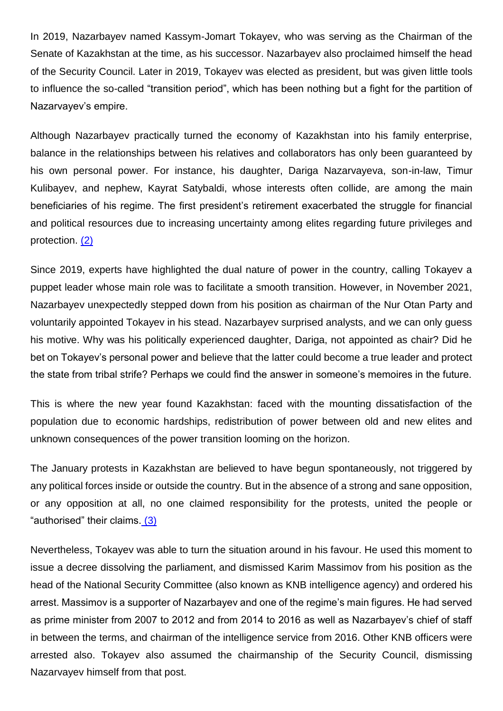In 2019, Nazarbayev named Kassym-Jomart Tokayev, who was serving as the Chairman of the Senate of Kazakhstan at the time, as his successor. Nazarbayev also proclaimed himself the head of the Security Council. Later in 2019, Tokayev was elected as president, but was given little tools to influence the so-called "transition period", which has been nothing but a fight for the partition of Nazarvayev's empire.

Although Nazarbayev practically turned the economy of Kazakhstan into his family enterprise, balance in the relationships between his relatives and collaborators has only been guaranteed by his own personal power. For instance, his daughter, Dariga Nazarvayeva, son-in-law, Timur Kulibayev, and nephew, Kayrat Satybaldi, whose interests often collide, are among the main beneficiaries of his regime. The first president's retirement exacerbated the struggle for financial and political resources due to increasing uncertainty among elites regarding future privileges and protection. (2)

Since 2019, experts have highlighted the dual nature of power in the country, calling Tokayev a puppet leader whose main role was to facilitate a smooth transition. However, in November 2021, Nazarbayev unexpectedly stepped down from his position as chairman of the Nur Otan Party and voluntarily appointed Tokayev in his stead. Nazarbayev surprised analysts, and we can only guess his motive. Why was his politically experienced daughter, Dariga, not appointed as chair? Did he bet on Tokayev's personal power and believe that the latter could become a true leader and protect the state from tribal strife? Perhaps we could find the answer in someone's memoires in the future.

This is where the new year found Kazakhstan: faced with the mounting dissatisfaction of the population due to economic hardships, redistribution of power between old and new elites and unknown consequences of the power transition looming on the horizon.

The January protests in Kazakhstan are believed to have begun spontaneously, not triggered by any political forces inside or outside the country. But in the absence of a strong and sane opposition, or any opposition at all, no one claimed responsibility for the protests, united the people or "authorised" their claims. (3)

Nevertheless, Tokayev was able to turn the situation around in his favour. He used this moment to issue a decree dissolving the parliament, and dismissed Karim Massimov from his position as the head of the National Security Committee (also known as KNB intelligence agency) and ordered his arrest. Massimov is a supporter of Nazarbayev and one of the regime's main figures. He had served as prime minister from 2007 to 2012 and from 2014 to 2016 as well as Nazarbayev's chief of staff in between the terms, and chairman of the intelligence service from 2016. Other KNB officers were arrested also. Tokayev also assumed the chairmanship of the Security Council, dismissing Nazarvayev himself from that post.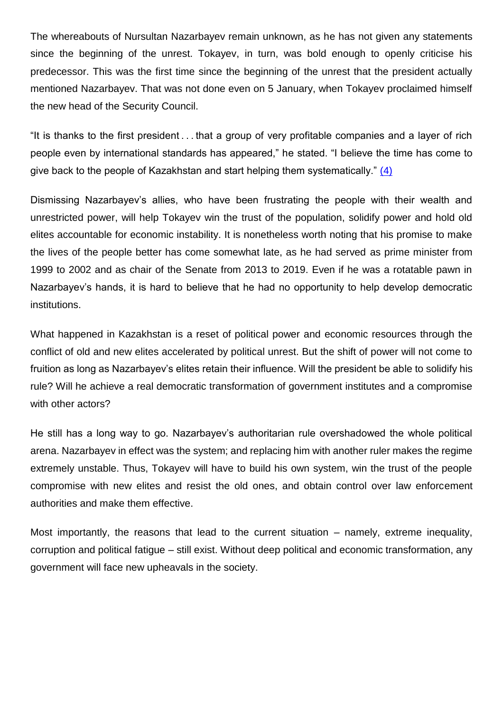The whereabouts of Nursultan Nazarbayev remain unknown, as he has not given any statements since the beginning of the unrest. Tokayev, in turn, was bold enough to openly criticise his predecessor. This was the first time since the beginning of the unrest that the president actually mentioned Nazarbayev. That was not done even on 5 January, when Tokayev proclaimed himself the new head of the Security Council.

"It is thanks to the first president . . . that a group of very profitable companies and a layer of rich people even by international standards has appeared," he stated. "I believe the time has come to give back to the people of Kazakhstan and start helping them systematically." (4)

Dismissing Nazarbayev's allies, who have been frustrating the people with their wealth and unrestricted power, will help Tokayev win the trust of the population, solidify power and hold old elites accountable for economic instability. It is nonetheless worth noting that his promise to make the lives of the people better has come somewhat late, as he had served as prime minister from 1999 to 2002 and as chair of the Senate from 2013 to 2019. Even if he was a rotatable pawn in Nazarbayev's hands, it is hard to believe that he had no opportunity to help develop democratic institutions.

What happened in Kazakhstan is a reset of political power and economic resources through the conflict of old and new elites accelerated by political unrest. But the shift of power will not come to fruition as long as Nazarbayev's elites retain their influence. Will the president be able to solidify his rule? Will he achieve a real democratic transformation of government institutes and a compromise with other actors?

He still has a long way to go. Nazarbayev's authoritarian rule overshadowed the whole political arena. Nazarbayev in effect was the system; and replacing him with another ruler makes the regime extremely unstable. Thus, Tokayev will have to build his own system, win the trust of the people compromise with new elites and resist the old ones, and obtain control over law enforcement authorities and make them effective.

Most importantly, the reasons that lead to the current situation – namely, extreme inequality, corruption and political fatigue – still exist. Without deep political and economic transformation, any government will face new upheavals in the society.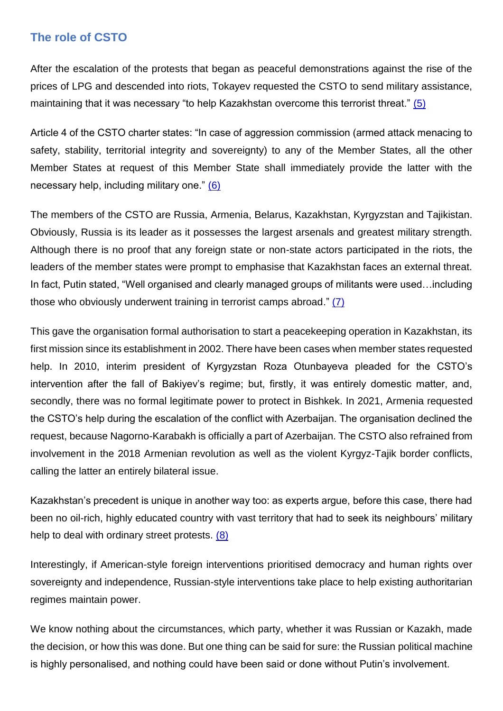#### **The role of CSTO**

After the escalation of the protests that began as peaceful demonstrations against the rise of the prices of LPG and descended into riots, Tokayev requested the CSTO to send military assistance, maintaining that it was necessary "to help Kazakhstan overcome this terrorist threat." (5)

Article 4 of the CSTO charter states: "In case of aggression commission (armed attack menacing to safety, stability, territorial integrity and sovereignty) to any of the Member States, all the other Member States at request of this Member State shall immediately provide the latter with the necessary help, including military one." (6)

The members of the CSTO are Russia, Armenia, Belarus, Kazakhstan, Kyrgyzstan and Tajikistan. Obviously, Russia is its leader as it possesses the largest arsenals and greatest military strength. Although there is no proof that any foreign state or non-state actors participated in the riots, the leaders of the member states were prompt to emphasise that Kazakhstan faces an external threat. In fact, Putin stated, "Well organised and clearly managed groups of militants were used…including those who obviously underwent training in terrorist camps abroad." (7)

This gave the organisation formal authorisation to start a peacekeeping operation in Kazakhstan, its first mission since its establishment in 2002. There have been cases when member states requested help. In 2010, interim president of Kyrgyzstan Roza Otunbayeva pleaded for the CSTO's intervention after the fall of Bakiyev's regime; but, firstly, it was entirely domestic matter, and, secondly, there was no formal legitimate power to protect in Bishkek. In 2021, Armenia requested the CSTO's help during the escalation of the conflict with Azerbaijan. The organisation declined the request, because Nagorno-Karabakh is officially a part of Azerbaijan. The CSTO also refrained from involvement in the 2018 Armenian revolution as well as the violent Kyrgyz-Tajik border conflicts, calling the latter an entirely bilateral issue.

Kazakhstan's precedent is unique in another way too: as experts argue, before this case, there had been no oil-rich, highly educated country with vast territory that had to seek its neighbours' military help to deal with ordinary street protests. (8)

Interestingly, if American-style foreign interventions prioritised democracy and human rights over sovereignty and independence, Russian-style interventions take place to help existing authoritarian regimes maintain power.

We know nothing about the circumstances, which party, whether it was Russian or Kazakh, made the decision, or how this was done. But one thing can be said for sure: the Russian political machine is highly personalised, and nothing could have been said or done without Putin's involvement.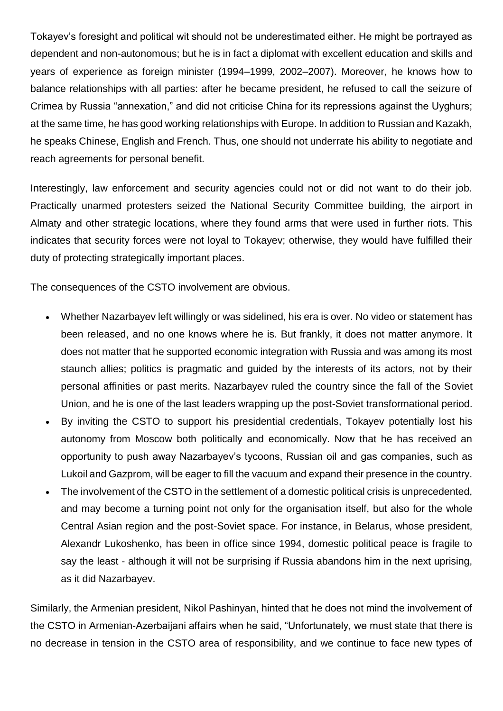Tokayev's foresight and political wit should not be underestimated either. He might be portrayed as dependent and non-autonomous; but he is in fact a diplomat with excellent education and skills and years of experience as foreign minister (1994–1999, 2002–2007). Moreover, he knows how to balance relationships with all parties: after he became president, he refused to call the seizure of Crimea by Russia "annexation," and did not criticise China for its repressions against the Uyghurs; at the same time, he has good working relationships with Europe. In addition to Russian and Kazakh, he speaks Chinese, English and French. Thus, one should not underrate his ability to negotiate and reach agreements for personal benefit.

Interestingly, law enforcement and security agencies could not or did not want to do their job. Practically unarmed protesters seized the National Security Committee building, the airport in Almaty and other strategic locations, where they found arms that were used in further riots. This indicates that security forces were not loyal to Tokayev; otherwise, they would have fulfilled their duty of protecting strategically important places.

The consequences of the CSTO involvement are obvious.

- Whether Nazarbayev left willingly or was sidelined, his era is over. No video or statement has been released, and no one knows where he is. But frankly, it does not matter anymore. It does not matter that he supported economic integration with Russia and was among its most staunch allies; politics is pragmatic and guided by the interests of its actors, not by their personal affinities or past merits. Nazarbayev ruled the country since the fall of the Soviet Union, and he is one of the last leaders wrapping up the post-Soviet transformational period.
- By inviting the CSTO to support his presidential credentials, Tokayev potentially lost his autonomy from Moscow both politically and economically. Now that he has received an opportunity to push away Nazarbayev's tycoons, Russian oil and gas companies, such as Lukoil and Gazprom, will be eager to fill the vacuum and expand their presence in the country.
- The involvement of the CSTO in the settlement of a domestic political crisis is unprecedented, and may become a turning point not only for the organisation itself, but also for the whole Central Asian region and the post-Soviet space. For instance, in Belarus, whose president, Alexandr Lukoshenko, has been in office since 1994, domestic political peace is fragile to say the least - although it will not be surprising if Russia abandons him in the next uprising, as it did Nazarbayev.

Similarly, the Armenian president, Nikol Pashinyan, hinted that he does not mind the involvement of the CSTO in Armenian-Azerbaijani affairs when he said, "Unfortunately, we must state that there is no decrease in tension in the CSTO area of responsibility, and we continue to face new types of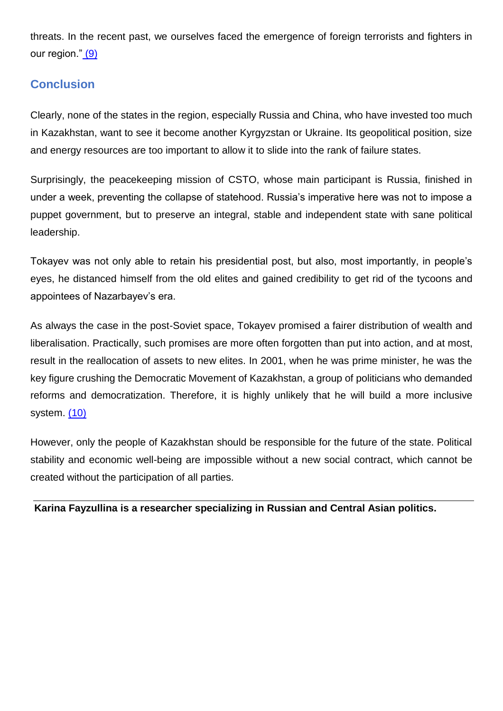threats. In the recent past, we ourselves faced the emergence of foreign terrorists and fighters in our region." (9)

# **Conclusion**

Clearly, none of the states in the region, especially Russia and China, who have invested too much in Kazakhstan, want to see it become another Kyrgyzstan or Ukraine. Its geopolitical position, size and energy resources are too important to allow it to slide into the rank of failure states.

Surprisingly, the peacekeeping mission of CSTO, whose main participant is Russia, finished in under a week, preventing the collapse of statehood. Russia's imperative here was not to impose a puppet government, but to preserve an integral, stable and independent state with sane political leadership.

Tokayev was not only able to retain his presidential post, but also, most importantly, in people's eyes, he distanced himself from the old elites and gained credibility to get rid of the tycoons and appointees of Nazarbayev's era.

As always the case in the post-Soviet space, Tokayev promised a fairer distribution of wealth and liberalisation. Practically, such promises are more often forgotten than put into action, and at most, result in the reallocation of assets to new elites. In 2001, when he was prime minister, he was the key figure crushing the Democratic Movement of Kazakhstan, a group of politicians who demanded reforms and democratization. Therefore, it is highly unlikely that he will build a more inclusive system. (10)

However, only the people of Kazakhstan should be responsible for the future of the state. Political stability and economic well-being are impossible without a new social contract, which cannot be created without the participation of all parties.

**Karina Fayzullina is a researcher specializing in Russian and Central Asian politics.**